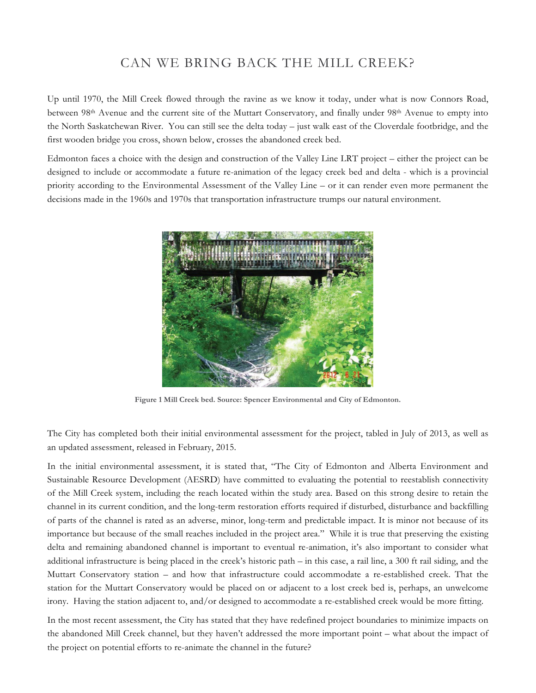## CAN WE BRING BACK THE MILL CREEK?

Up until 1970, the Mill Creek flowed through the ravine as we know it today, under what is now Connors Road, between 98<sup>th</sup> Avenue and the current site of the Muttart Conservatory, and finally under 98<sup>th</sup> Avenue to empty into the North Saskatchewan River. You can still see the delta today – just walk east of the Cloverdale footbridge, and the first wooden bridge you cross, shown below, crosses the abandoned creek bed.

Edmonton faces a choice with the design and construction of the Valley Line LRT project – either the project can be designed to include or accommodate a future re-animation of the legacy creek bed and delta - which is a provincial priority according to the Environmental Assessment of the Valley Line – or it can render even more permanent the decisions made in the 1960s and 1970s that transportation infrastructure trumps our natural environment.



**Figure 1 Mill Creek bed. Source: Spencer Environmental and City of Edmonton.**

The City has completed both their initial environmental assessment for the project, tabled in July of 2013, as well as an updated assessment, released in February, 2015.

In the initial environmental assessment, it is stated that, "The City of Edmonton and Alberta Environment and Sustainable Resource Development (AESRD) have committed to evaluating the potential to reestablish connectivity of the Mill Creek system, including the reach located within the study area. Based on this strong desire to retain the channel in its current condition, and the long-term restoration efforts required if disturbed, disturbance and backfilling of parts of the channel is rated as an adverse, minor, long-term and predictable impact. It is minor not because of its importance but because of the small reaches included in the project area." While it is true that preserving the existing delta and remaining abandoned channel is important to eventual re-animation, it's also important to consider what additional infrastructure is being placed in the creek's historic path – in this case, a rail line, a 300 ft rail siding, and the Muttart Conservatory station – and how that infrastructure could accommodate a re-established creek. That the station for the Muttart Conservatory would be placed on or adjacent to a lost creek bed is, perhaps, an unwelcome irony. Having the station adjacent to, and/or designed to accommodate a re-established creek would be more fitting.

In the most recent assessment, the City has stated that they have redefined project boundaries to minimize impacts on the abandoned Mill Creek channel, but they haven't addressed the more important point – what about the impact of the project on potential efforts to re-animate the channel in the future?